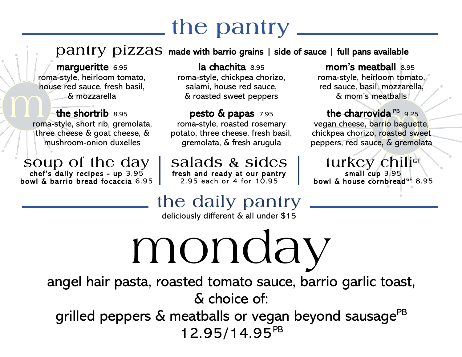$\mathbf{p}$ antry  $\mathbf{p}$ izzas made with barrio grains | side of sauce | full pans available

margueritte 6.95 roma-style, heirloom tomato, house red sauce, fresh basil, & mozzarella

the shortrib 8.95 roma-style, short rib, gremolata, three cheese & goat cheese, & mushroom-onion duxelles

soup of the day chef's daily recipes - up 3.95 bowl & barrio bread focaccia 6.95

la chachita 8.95 roma-style, chickpea chorizo, salami, house red sauce, & roasted sweet peppers

pesto & papas 7.95 roma-style, roasted rosemary potato, three cheese, fresh basil, gremolata, & fresh arugula

salads & sides fresh and ready at our pantry 2.95 each or 4 for 10.95

mom's meatball 8.95 roma-style, heirloom tomato, red sauce, basil, mozzarella, & mom's meatballs

the charrovida PB 9.25 vegan cheese, barrio baguette, chickpea chorizo, roasted sweet peppers, red sauce, & gremolata

turkey chilige small cup 3.95 bowl & house cornbread<sup>GF</sup> 8.95

#### the daily pantry

deliciously different & all under \$15

monday

angel hair pasta, roasted tomato sauce, barrio garlic toast, & choice of:

grilled peppers & meatballs or vegan beyond sausage<sup>PB</sup> 12.95/14.95PB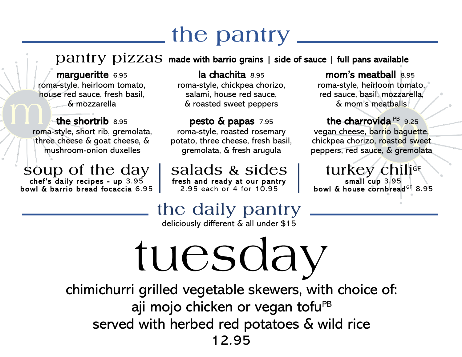#### $\bold{p}$ antry  $\bold{p}$ izzas made with barrio grains | side of sauce | full pans available

margueritte 6.95 roma-style, heirloom tomato, house red sauce, fresh basil, & mozzarella

the shortrib 8.95 roma-style, short rib, gremolata, three cheese & goat cheese, & mushroom-onion duxelles

soup of the day chef's daily recipes - up 3.95 bowl & barrio bread focaccia 6.95

la chachita 8.95 roma-style, chickpea chorizo, salami, house red sauce, & roasted sweet peppers

pesto & papas 7.95 roma-style, roasted rosemary potato, three cheese, fresh basil, gremolata, & fresh arugula

salads & sides fresh and ready at our pantry 2.95 each or 4 for 10.95

mom's meatball 8.95 roma-style, heirloom tomato, red sauce, basil, mozzarella, & mom's meatballs

the charrovida PB 9.25 vegan cheese, barrio baguette, chickpea chorizo, roasted sweet peppers, red sauce, & gremolata

turkey chili<sup>ge</sup> small cup 3.95 bowl & house cornbread<sup>GF</sup> 8.95

#### the daily pantry

deliciously different & all under \$15

tuesday chimichurri grilled vegetable skewers, with choice of: aji mojo chicken or vegan tofu<sup>PB</sup> served with herbed red potatoes & wild rice 12.95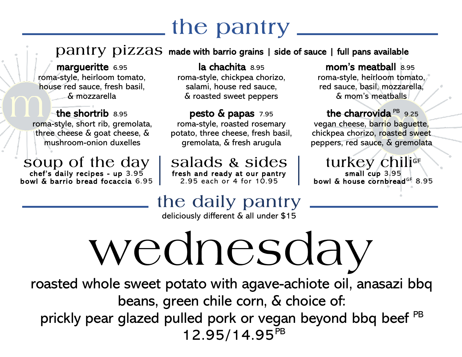$\mathbf{p}$ antry  $\mathbf{p}$ izzas made with barrio grains | side of sauce | full pans available

margueritte 6.95 roma-style, heirloom tomato, house red sauce, fresh basil, & mozzarella

the shortrib 8.95 roma-style, short rib, gremolata, three cheese & goat cheese, & mushroom-onion duxelles

soup of the day chef's daily recipes - up 3.95 bowl & barrio bread focaccia 6.95

la chachita 8.95 roma-style, chickpea chorizo, salami, house red sauce, & roasted sweet peppers

pesto & papas 7.95 roma-style, roasted rosemary potato, three cheese, fresh basil, gremolata, & fresh arugula

salads & sides fresh and ready at our pantry 2.95 each or 4 for 10.95

mom's meatball 8.95 roma-style, heirloom tomato, red sauce, basil, mozzarella, & mom's meatballs

the charrovida PB 9.25 vegan cheese, barrio baguette, chickpea chorizo, roasted sweet peppers, red sauce, & gremolata

turkey chiliGF small cup 3.95 bowl & house cornbread<sup>GF</sup> 8.95

### the daily pantry

deliciously different & all under \$15

# wednesday

roasted whole sweet potato with agave-achiote oil, anasazi bbq beans, green chile corn, & choice of: prickly pear glazed pulled pork or vegan beyond bbq beef PB 12.95/14.95PB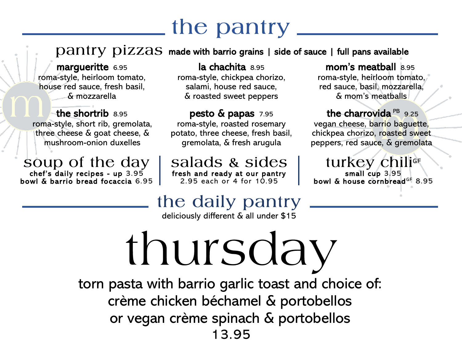$\mathbf{p}$ antry  $\mathbf{p}$ izzas made with barrio grains | side of sauce | full pans available

margueritte 6.95 roma-style, heirloom tomato, house red sauce, fresh basil, & mozzarella

the shortrib 8.95 roma-style, short rib, gremolata, three cheese & goat cheese, & mushroom-onion duxelles

soup of the day chef's daily recipes - up 3.95 bowl & barrio bread focaccia 6.95

la chachita 8.95 roma-style, chickpea chorizo, salami, house red sauce, & roasted sweet peppers

pesto & papas 7.95 roma-style, roasted rosemary potato, three cheese, fresh basil, gremolata, & fresh arugula

salads & sides fresh and ready at our pantry 2.95 each or 4 for 10.95

mom's meatball 8.95 roma-style, heirloom tomato, red sauce, basil, mozzarella, & mom's meatballs

the charrovida PB 9.25 vegan cheese, barrio baguette, chickpea chorizo, roasted sweet peppers, red sauce, & gremolata

turkey chilige small cup 3.95 bowl & house cornbread<sup>GF</sup> 8.95

#### the daily pantry

deliciously different & all under \$15

thursday

torn pasta with barrio garlic toast and choice of: crème chicken béchamel & portobellos or vegan crème spinach & portobellos 13.95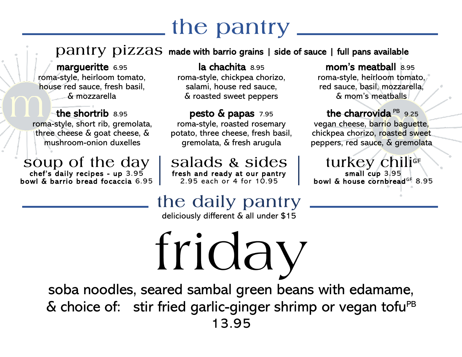$\mathbf{p}$ antry  $\mathbf{p}$ izzas made with barrio grains | side of sauce | full pans available

margueritte 6.95 roma-style, heirloom tomato, house red sauce, fresh basil, & mozzarella

the shortrib 8.95 roma-style, short rib, gremolata, three cheese & goat cheese, & mushroom-onion duxelles

soup of the day chef's daily recipes - up 3.95 bowl & barrio bread focaccia 6.95

la chachita 8.95 roma-style, chickpea chorizo, salami, house red sauce, & roasted sweet peppers

pesto & papas 7.95 roma-style, roasted rosemary potato, three cheese, fresh basil, gremolata, & fresh arugula

salads & sides fresh and ready at our pantry 2.95 each or 4 for 10.95

mom's meatball 8.95 roma-style, heirloom tomato, red sauce, basil, mozzarella, & mom's meatballs

the charrovida PB 9.25 vegan cheese, barrio baguette, chickpea chorizo, roasted sweet peppers, red sauce, & gremolata

turkey chiliGF small cup 3.95 bowl & house cornbread<sup>GF</sup> 8.95

#### the daily pantry

deliciously different & all under \$15

friday

soba noodles, seared sambal green beans with edamame,  $\&$  choice of: stir fried garlic-ginger shrimp or vegan tofu<sup>PB</sup> 13.95